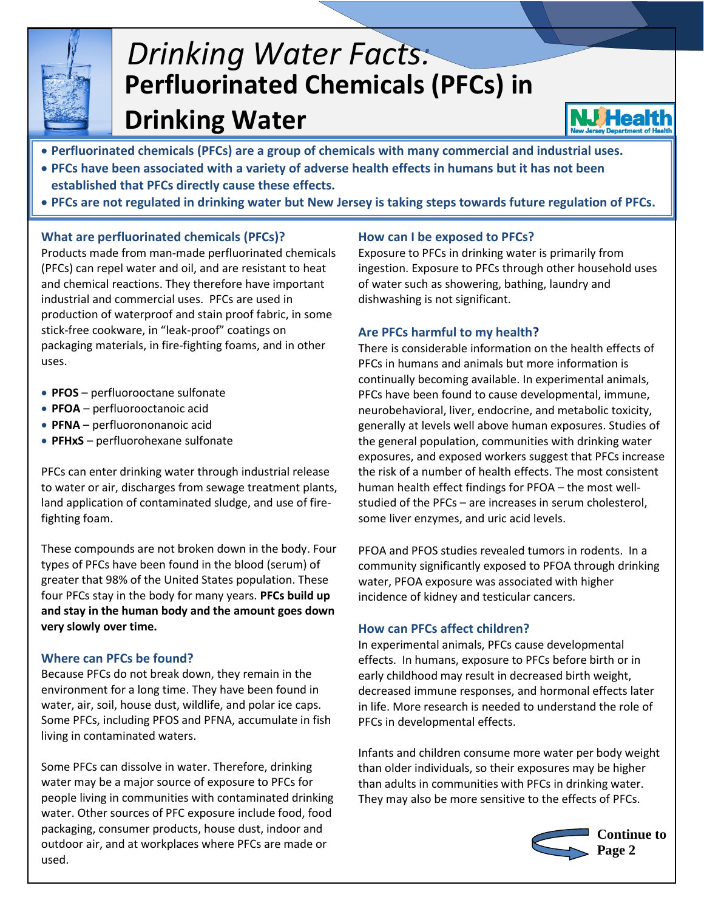

# **Perfluorinated Chemicals (PFCs) in Drinking Water** *Drinking Water Facts:*



- **Perfluorinated chemicals (PFCs) are a group of chemicals with many commercial and industrial uses.**
- **PFCs have been associated with a variety of adverse health effects in humans but it has not been established that PFCs directly cause these effects.**
- **PFCs are not regulated in drinking water but New Jersey is taking steps towards future regulation of PFCs.**

# **What are perfluorinated chemicals (PFCs)?**

Products made from man-made perfluorinated chemicals (PFCs) can repel water and oil, and are resistant to heat and chemical reactions. They therefore have important industrial and commercial uses. PFCs are used in production of waterproof and stain proof fabric, in some stick-free cookware, in "leak-proof" coatings on packaging materials, in fire-fighting foams, and in other uses.

- **PFOS** perfluorooctane sulfonate
- **PFOA** perfluorooctanoic acid
- **PFNA**  perfluorononanoic acid
- **PFHxS**  perfluorohexane sulfonate

PFCs can enter drinking water through industrial release to water or air, discharges from sewage treatment plants, land application of contaminated sludge, and use of firefighting foam.

These compounds are not broken down in the body. Four types of PFCs have been found in the blood (serum) of greater that 98% of the United States population. These four PFCs stay in the body for many years. **PFCs build up and stay in the human body and the amount goes down very slowly over time.**

# **Where can PFCs be found?**

Because PFCs do not break down, they remain in the environment for a long time. They have been found in water, air, soil, house dust, wildlife, and polar ice caps. Some PFCs, including PFOS and PFNA, accumulate in fish living in contaminated waters.

Some PFCs can dissolve in water. Therefore, drinking water may be a major source of exposure to PFCs for people living in communities with contaminated drinking water. Other sources of PFC exposure include food, food packaging, consumer products, house dust, indoor and outdoor air, and at workplaces where PFCs are made or used.

# **How can I be exposed to PFCs?**

Exposure to PFCs in drinking water is primarily from ingestion. Exposure to PFCs through other household uses of water such as showering, bathing, laundry and dishwashing is not significant.

# **Are PFCs harmful to my health?**

There is considerable information on the health effects of PFCs in humans and animals but more information is continually becoming available. In experimental animals, PFCs have been found to cause developmental, immune, neurobehavioral, liver, endocrine, and metabolic toxicity, generally at levels well above human exposures. Studies of the general population, communities with drinking water exposures, and exposed workers suggest that PFCs increase the risk of a number of health effects. The most consistent human health effect findings for PFOA – the most wellstudied of the PFCs – are increases in serum cholesterol, some liver enzymes, and uric acid levels.

PFOA and PFOS studies revealed tumors in rodents. In a community significantly exposed to PFOA through drinking water, PFOA exposure was associated with higher incidence of kidney and testicular cancers.

# **How can PFCs affect children?**

In experimental animals, PFCs cause developmental effects. In humans, exposure to PFCs before birth or in early childhood may result in decreased birth weight, decreased immune responses, and hormonal effects later in life. More research is needed to understand the role of PFCs in developmental effects.

Infants and children consume more water per body weight than older individuals, so their exposures may be higher than adults in communities with PFCs in drinking water. They may also be more sensitive to the effects of PFCs.